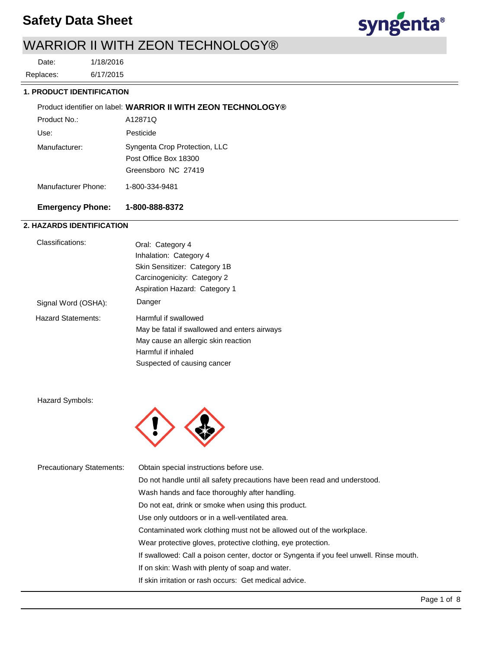## **Safety Data Sheet**



1/18/2016 Date:

6/17/2015 Replaces:

## **1. PRODUCT IDENTIFICATION**

|                     | Product identifier on label: WARRIOR II WITH ZEON TECHNOLOGY® |
|---------------------|---------------------------------------------------------------|
| Product No.:        | A12871Q                                                       |
| Use:                | Pesticide                                                     |
| Manufacturer:       | Syngenta Crop Protection, LLC                                 |
|                     | Post Office Box 18300                                         |
|                     | Greensboro NC 27419                                           |
| Manufacturer Phone: | 1-800-334-9481                                                |
|                     |                                                               |

## **Emergency Phone: 1-800-888-8372**

## **2. HAZARDS IDENTIFICATION**

| Classifications:          | Oral: Category 4                             |  |  |
|---------------------------|----------------------------------------------|--|--|
|                           | Inhalation: Category 4                       |  |  |
|                           | Skin Sensitizer: Category 1B                 |  |  |
|                           | Carcinogenicity: Category 2                  |  |  |
|                           | Aspiration Hazard: Category 1                |  |  |
| Signal Word (OSHA):       | Danger                                       |  |  |
| <b>Hazard Statements:</b> | Harmful if swallowed                         |  |  |
|                           | May be fatal if swallowed and enters airways |  |  |
|                           | May cause an allergic skin reaction          |  |  |
|                           | Harmful if inhaled                           |  |  |
|                           | Suspected of causing cancer                  |  |  |

Hazard Symbols:



| <b>Precautionary Statements:</b> | Obtain special instructions before use.                                                 |
|----------------------------------|-----------------------------------------------------------------------------------------|
|                                  | Do not handle until all safety precautions have been read and understood.               |
|                                  | Wash hands and face thoroughly after handling.                                          |
|                                  | Do not eat, drink or smoke when using this product.                                     |
|                                  | Use only outdoors or in a well-ventilated area.                                         |
|                                  | Contaminated work clothing must not be allowed out of the workplace.                    |
|                                  | Wear protective gloves, protective clothing, eye protection.                            |
|                                  | If swallowed: Call a poison center, doctor or Syngenta if you feel unwell. Rinse mouth. |
|                                  | If on skin: Wash with plenty of soap and water.                                         |
|                                  | If skin irritation or rash occurs: Get medical advice.                                  |
|                                  |                                                                                         |

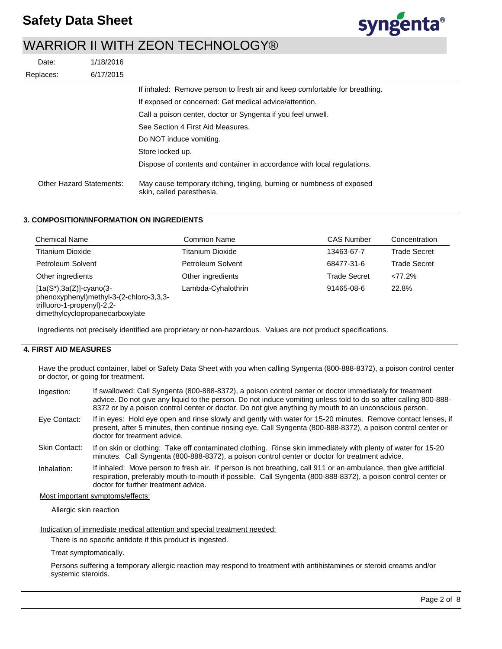

| Date:                           | 1/18/2016 |                                                                                                    |
|---------------------------------|-----------|----------------------------------------------------------------------------------------------------|
| Replaces:                       | 6/17/2015 |                                                                                                    |
|                                 |           | If inhaled: Remove person to fresh air and keep comfortable for breathing.                         |
|                                 |           | If exposed or concerned: Get medical advice/attention.                                             |
|                                 |           | Call a poison center, doctor or Syngenta if you feel unwell.                                       |
|                                 |           | See Section 4 First Aid Measures.                                                                  |
|                                 |           | Do NOT induce vomiting.                                                                            |
|                                 |           | Store locked up.                                                                                   |
|                                 |           | Dispose of contents and container in accordance with local regulations.                            |
| <b>Other Hazard Statements:</b> |           | May cause temporary itching, tingling, burning or numbness of exposed<br>skin, called paresthesia. |

### **3. COMPOSITION/INFORMATION ON INGREDIENTS**

| <b>Chemical Name</b>                                                                                                                    | Common Name             | <b>CAS Number</b>   | Concentration       |
|-----------------------------------------------------------------------------------------------------------------------------------------|-------------------------|---------------------|---------------------|
| <b>Titanium Dioxide</b>                                                                                                                 | <b>Titanium Dioxide</b> | 13463-67-7          | <b>Trade Secret</b> |
| Petroleum Solvent                                                                                                                       | Petroleum Solvent       | 68477-31-6          | <b>Trade Secret</b> |
| Other ingredients                                                                                                                       | Other ingredients       | <b>Trade Secret</b> | <77.2%              |
| $[1a(S*), 3a(Z)]$ -cyano(3-<br>phenoxyphenyl)methyl-3-(2-chloro-3,3,3-<br>trifluoro-1-propenyl)-2,2-<br>dimethylcyclopropanecarboxylate | Lambda-Cyhalothrin      | 91465-08-6          | 22.8%               |

Ingredients not precisely identified are proprietary or non-hazardous. Values are not product specifications.

## **4. FIRST AID MEASURES**

Have the product container, label or Safety Data Sheet with you when calling Syngenta (800-888-8372), a poison control center or doctor, or going for treatment.

| Ingestion:    | If swallowed: Call Syngenta (800-888-8372), a poison control center or doctor immediately for treatment<br>advice. Do not give any liquid to the person. Do not induce vomiting unless told to do so after calling 800-888-<br>8372 or by a poison control center or doctor. Do not give anything by mouth to an unconscious person. |
|---------------|--------------------------------------------------------------------------------------------------------------------------------------------------------------------------------------------------------------------------------------------------------------------------------------------------------------------------------------|
| Eye Contact:  | If in eyes: Hold eye open and rinse slowly and gently with water for 15-20 minutes. Remove contact lenses, if<br>present, after 5 minutes, then continue rinsing eye. Call Syngenta (800-888-8372), a poison control center or<br>doctor for treatment advice.                                                                       |
| Skin Contact: | If on skin or clothing: Take off contaminated clothing. Rinse skin immediately with plenty of water for 15-20<br>minutes. Call Syngenta (800-888-8372), a poison control center or doctor for treatment advice.                                                                                                                      |
| Inhalation:   | If inhaled: Move person to fresh air. If person is not breathing, call 911 or an ambulance, then give artificial<br>respiration, preferably mouth-to-mouth if possible. Call Syngenta (800-888-8372), a poison control center or<br>doctor for further treatment advice.                                                             |

#### Most important symptoms/effects:

Allergic skin reaction

Indication of immediate medical attention and special treatment needed:

There is no specific antidote if this product is ingested.

Treat symptomatically.

Persons suffering a temporary allergic reaction may respond to treatment with antihistamines or steroid creams and/or systemic steroids.

syngenta®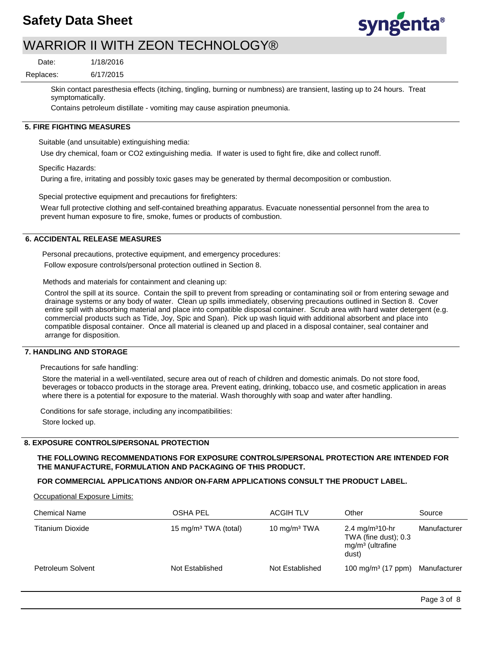

6/17/2015 1/18/2016 Replaces: Date:

> Skin contact paresthesia effects (itching, tingling, burning or numbness) are transient, lasting up to 24 hours. Treat symptomatically.

Contains petroleum distillate - vomiting may cause aspiration pneumonia.

## **5. FIRE FIGHTING MEASURES**

Suitable (and unsuitable) extinguishing media:

Use dry chemical, foam or CO2 extinguishing media. If water is used to fight fire, dike and collect runoff.

Specific Hazards:

During a fire, irritating and possibly toxic gases may be generated by thermal decomposition or combustion.

Special protective equipment and precautions for firefighters:

Wear full protective clothing and self-contained breathing apparatus. Evacuate nonessential personnel from the area to prevent human exposure to fire, smoke, fumes or products of combustion.

#### **6. ACCIDENTAL RELEASE MEASURES**

Personal precautions, protective equipment, and emergency procedures: Follow exposure controls/personal protection outlined in Section 8.

Methods and materials for containment and cleaning up:

Control the spill at its source. Contain the spill to prevent from spreading or contaminating soil or from entering sewage and drainage systems or any body of water. Clean up spills immediately, observing precautions outlined in Section 8. Cover entire spill with absorbing material and place into compatible disposal container. Scrub area with hard water detergent (e.g. commercial products such as Tide, Joy, Spic and Span). Pick up wash liquid with additional absorbent and place into compatible disposal container. Once all material is cleaned up and placed in a disposal container, seal container and arrange for disposition.

## **7. HANDLING AND STORAGE**

Precautions for safe handling:

Store the material in a well-ventilated, secure area out of reach of children and domestic animals. Do not store food, beverages or tobacco products in the storage area. Prevent eating, drinking, tobacco use, and cosmetic application in areas where there is a potential for exposure to the material. Wash thoroughly with soap and water after handling.

Conditions for safe storage, including any incompatibilities: Store locked up.

#### **8. EXPOSURE CONTROLS/PERSONAL PROTECTION**

**THE FOLLOWING RECOMMENDATIONS FOR EXPOSURE CONTROLS/PERSONAL PROTECTION ARE INTENDED FOR THE MANUFACTURE, FORMULATION AND PACKAGING OF THIS PRODUCT.** 

### **FOR COMMERCIAL APPLICATIONS AND/OR ON-FARM APPLICATIONS CONSULT THE PRODUCT LABEL.**

Occupational Exposure Limits:

| <b>Chemical Name</b>    | OSHA PEL                         | <b>ACGIH TLV</b>         | Other                                                                              | Source       |
|-------------------------|----------------------------------|--------------------------|------------------------------------------------------------------------------------|--------------|
| <b>Titanium Dioxide</b> | 15 mg/m <sup>3</sup> TWA (total) | 10 mg/m <sup>3</sup> TWA | 2.4 mg/m <sup>3</sup> 10-hr<br>TWA (fine dust); 0.3<br>$mg/m3$ (ultrafine<br>dust) | Manufacturer |
| Petroleum Solvent       | Not Established                  | Not Established          | 100 mg/m <sup>3</sup> (17 ppm)                                                     | Manufacturer |

syngenta®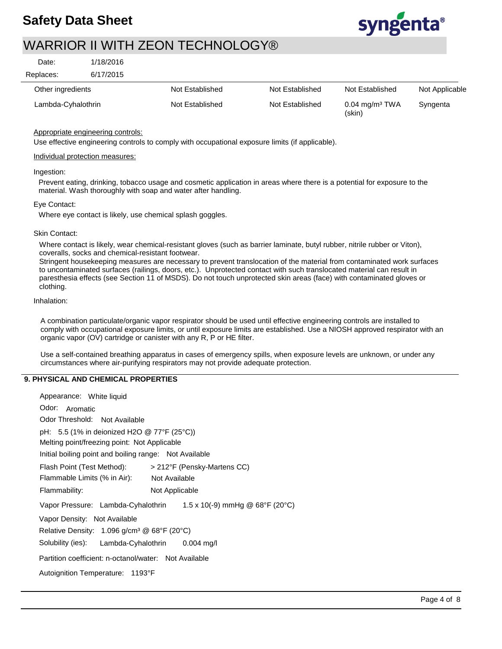

6/17/2015 1/18/2016 Replaces: Date:

| Other ingredients  | Not Established | Not Established | Not Established                        | Not Applicable |
|--------------------|-----------------|-----------------|----------------------------------------|----------------|
|                    |                 |                 |                                        |                |
| Lambda-Cyhalothrin | Not Established | Not Established | $0.04$ mg/m <sup>3</sup> TWA<br>(skin) | Syngenta       |

## Appropriate engineering controls:

Use effective engineering controls to comply with occupational exposure limits (if applicable).

## Individual protection measures:

## Ingestion:

Prevent eating, drinking, tobacco usage and cosmetic application in areas where there is a potential for exposure to the material. Wash thoroughly with soap and water after handling.

#### Eye Contact:

Where eye contact is likely, use chemical splash goggles.

#### Skin Contact:

Where contact is likely, wear chemical-resistant gloves (such as barrier laminate, butyl rubber, nitrile rubber or Viton), coveralls, socks and chemical-resistant footwear.

Stringent housekeeping measures are necessary to prevent translocation of the material from contaminated work surfaces to uncontaminated surfaces (railings, doors, etc.). Unprotected contact with such translocated material can result in paresthesia effects (see Section 11 of MSDS). Do not touch unprotected skin areas (face) with contaminated gloves or clothing.

#### Inhalation:

A combination particulate/organic vapor respirator should be used until effective engineering controls are installed to comply with occupational exposure limits, or until exposure limits are established. Use a NIOSH approved respirator with an organic vapor (OV) cartridge or canister with any R, P or HE filter.

Use a self-contained breathing apparatus in cases of emergency spills, when exposure levels are unknown, or under any circumstances where air-purifying respirators may not provide adequate protection.

## **9. PHYSICAL AND CHEMICAL PROPERTIES**

| Appearance: White liquid                                                     |  |  |  |
|------------------------------------------------------------------------------|--|--|--|
| Odor: Aromatic                                                               |  |  |  |
| Odor Threshold: Not Available                                                |  |  |  |
| pH: 5.5 (1% in deionized H2O @ 77°F (25°C))                                  |  |  |  |
| Melting point/freezing point: Not Applicable                                 |  |  |  |
| Initial boiling point and boiling range: Not Available                       |  |  |  |
| Flash Point (Test Method):<br>> 212°F (Pensky-Martens CC)                    |  |  |  |
| Flammable Limits (% in Air):<br>Not Available                                |  |  |  |
| Flammability:<br>Not Applicable                                              |  |  |  |
| $1.5 \times 10(-9)$ mmHg @ 68°F (20°C)<br>Vapor Pressure: Lambda-Cyhalothrin |  |  |  |
| Vapor Density: Not Available                                                 |  |  |  |
| Relative Density: $1.096$ g/cm <sup>3</sup> @ 68°F (20°C)                    |  |  |  |
| Solubility (ies): Lambda-Cyhalothrin 0.004 mg/l                              |  |  |  |
| Partition coefficient: n-octanol/water: Not Available                        |  |  |  |
| Autoignition Temperature: 1193°F                                             |  |  |  |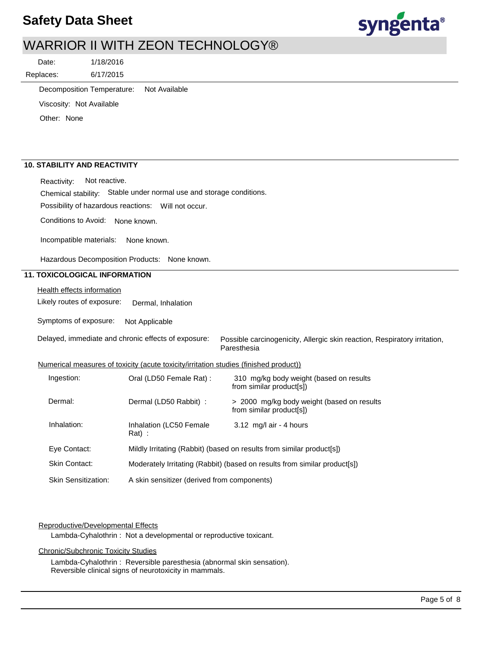## **Safety Data Sheet**



## WARRIOR II WITH ZEON TECHNOLOGY®

6/17/2015 1/18/2016 Replaces: Date:

Decomposition Temperature: Not Available

Viscosity: Not Available

Other: None

## **10. STABILITY AND REACTIVITY**

Reactivity: Not reactive.

Chemical stability: Stable under normal use and storage conditions.

Possibility of hazardous reactions: Will not occur.

Conditions to Avoid: None known.

Incompatible materials: None known.

Hazardous Decomposition Products: None known.

## **11. TOXICOLOGICAL INFORMATION**

**Health effects information** 

Likely routes of exposure: Dermal, Inhalation

Symptoms of exposure: Not Applicable

Delayed, immediate and chronic effects of exposure:

Possible carcinogenicity, Allergic skin reaction, Respiratory irritation, Paresthesia

Numerical measures of toxicity (acute toxicity/irritation studies (finished product))

| Ingestion:                 | Oral (LD50 Female Rat) :                                                  | 310 mg/kg body weight (based on results<br>from similar product[s])    |
|----------------------------|---------------------------------------------------------------------------|------------------------------------------------------------------------|
| Dermal:                    | Dermal (LD50 Rabbit) :                                                    | > 2000 mg/kg body weight (based on results<br>from similar product[s]) |
| Inhalation:                | Inhalation (LC50 Female<br>$Rat)$ :                                       | $3.12 \text{ mg/l}$ air - 4 hours                                      |
| Eye Contact:               | Mildly Irritating (Rabbit) (based on results from similar product[s])     |                                                                        |
| <b>Skin Contact:</b>       | Moderately Irritating (Rabbit) (based on results from similar product[s]) |                                                                        |
| <b>Skin Sensitization:</b> | A skin sensitizer (derived from components)                               |                                                                        |

#### Reproductive/Developmental Effects

Lambda-Cyhalothrin : Not a developmental or reproductive toxicant.

#### Chronic/Subchronic Toxicity Studies

Lambda-Cyhalothrin : Reversible paresthesia (abnormal skin sensation). Reversible clinical signs of neurotoxicity in mammals.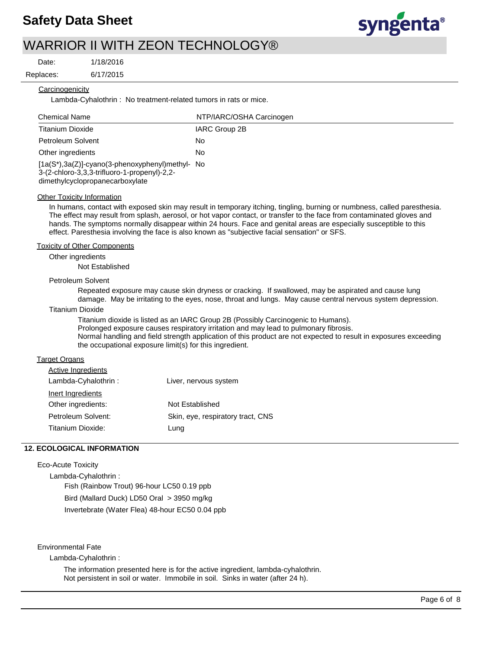

Date:

1/18/2016

6/17/2015

Replaces:

### **Carcinogenicity**

Lambda-Cyhalothrin : No treatment-related tumors in rats or mice.

| <b>Chemical Name</b>                                                                                                                    | NTP/IARC/OSHA Carcinogen |
|-----------------------------------------------------------------------------------------------------------------------------------------|--------------------------|
| <b>Titanium Dioxide</b>                                                                                                                 | IARC Group 2B            |
| Petroleum Solvent                                                                                                                       | No                       |
| Other ingredients                                                                                                                       | No                       |
| $[1a(S^*), 3a(Z)]$ -cyano(3-phenoxyphenyl)methyl- No<br>3-(2-chloro-3,3,3-trifluoro-1-propenyl)-2,2-<br>dimethylcyclopropanecarboxylate |                          |

#### Other Toxicity Information

In humans, contact with exposed skin may result in temporary itching, tingling, burning or numbness, called paresthesia. The effect may result from splash, aerosol, or hot vapor contact, or transfer to the face from contaminated gloves and hands. The symptoms normally disappear within 24 hours. Face and genital areas are especially susceptible to this effect. Paresthesia involving the face is also known as "subjective facial sensation" or SFS.

#### Toxicity of Other Components

Other ingredients

Not Established

#### Petroleum Solvent

Repeated exposure may cause skin dryness or cracking. If swallowed, may be aspirated and cause lung damage. May be irritating to the eyes, nose, throat and lungs. May cause central nervous system depression.

#### Titanium Dioxide

Titanium dioxide is listed as an IARC Group 2B (Possibly Carcinogenic to Humans). Prolonged exposure causes respiratory irritation and may lead to pulmonary fibrosis. Normal handling and field strength application of this product are not expected to result in exposures exceeding the occupational exposure limit(s) for this ingredient.

#### **Target Organs**

| Liver, nervous system             |
|-----------------------------------|
|                                   |
| Not Established                   |
| Skin, eye, respiratory tract, CNS |
| Lung                              |
|                                   |

### **12. ECOLOGICAL INFORMATION**

#### Eco-Acute Toxicity

Lambda-Cyhalothrin : Fish (Rainbow Trout) 96-hour LC50 0.19 ppb Bird (Mallard Duck) LD50 Oral > 3950 mg/kg Invertebrate (Water Flea) 48-hour EC50 0.04 ppb

#### Environmental Fate

Lambda-Cyhalothrin :

The information presented here is for the active ingredient, lambda-cyhalothrin. Not persistent in soil or water. Immobile in soil. Sinks in water (after 24 h).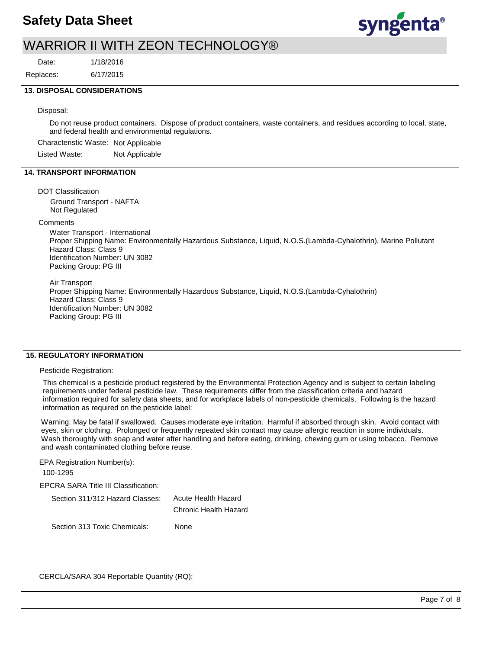

Date:

6/17/2015 1/18/2016 Replaces:

#### **13. DISPOSAL CONSIDERATIONS**

#### Disposal:

Do not reuse product containers. Dispose of product containers, waste containers, and residues according to local, state, and federal health and environmental regulations.

Characteristic Waste: Not Applicable

Listed Waste: Not Applicable

## **14. TRANSPORT INFORMATION**

#### DOT Classification

Ground Transport - NAFTA Not Regulated

#### **Comments**

Water Transport - International Proper Shipping Name: Environmentally Hazardous Substance, Liquid, N.O.S.(Lambda-Cyhalothrin), Marine Pollutant Hazard Class: Class 9 Identification Number: UN 3082 Packing Group: PG III

Air Transport

Proper Shipping Name: Environmentally Hazardous Substance, Liquid, N.O.S.(Lambda-Cyhalothrin) Hazard Class: Class 9 Identification Number: UN 3082 Packing Group: PG III

### **15. REGULATORY INFORMATION**

#### Pesticide Registration:

This chemical is a pesticide product registered by the Environmental Protection Agency and is subject to certain labeling requirements under federal pesticide law. These requirements differ from the classification criteria and hazard information required for safety data sheets, and for workplace labels of non-pesticide chemicals. Following is the hazard information as required on the pesticide label:

Warning: May be fatal if swallowed. Causes moderate eye irritation. Harmful if absorbed through skin. Avoid contact with eyes, skin or clothing. Prolonged or frequently repeated skin contact may cause allergic reaction in some individuals. Wash thoroughly with soap and water after handling and before eating, drinking, chewing gum or using tobacco. Remove and wash contaminated clothing before reuse.

EPA Registration Number(s): 100-1295

EPCRA SARA Title III Classification:

| Section 311/312 Hazard Classes: | Acute Health Hazard   |  |  |
|---------------------------------|-----------------------|--|--|
|                                 | Chronic Health Hazard |  |  |
| Section 313 Toxic Chemicals:    | None                  |  |  |

CERCLA/SARA 304 Reportable Quantity (RQ):